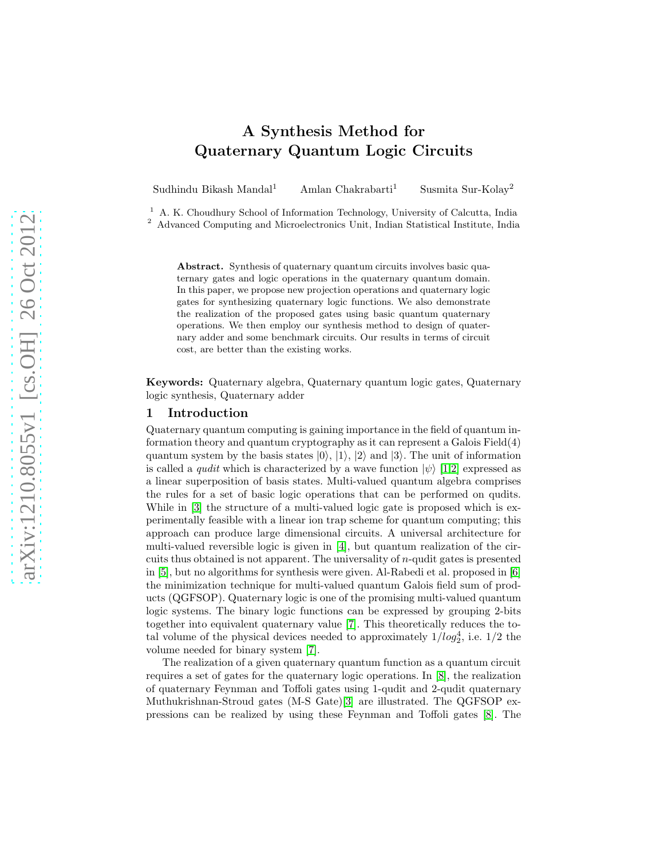# A Synthesis Method for Quaternary Quantum Logic Circuits

Sudhindu Bikash Mandal<sup>1</sup> Amlan Chakrabarti<sup>1</sup> Susmita Sur-Kolay<sup>2</sup>

<sup>1</sup> A. K. Choudhury School of Information Technology, University of Calcutta, India <sup>2</sup> Advanced Computing and Microelectronics Unit, Indian Statistical Institute, India

Abstract. Synthesis of quaternary quantum circuits involves basic quaternary gates and logic operations in the quaternary quantum domain. In this paper, we propose new projection operations and quaternary logic gates for synthesizing quaternary logic functions. We also demonstrate the realization of the proposed gates using basic quantum quaternary operations. We then employ our synthesis method to design of quaternary adder and some benchmark circuits. Our results in terms of circuit cost, are better than the existing works.

Keywords: Quaternary algebra, Quaternary quantum logic gates, Quaternary logic synthesis, Quaternary adder

#### 1 Introduction

Quaternary quantum computing is gaining importance in the field of quantum information theory and quantum cryptography as it can represent a Galois Field(4) quantum system by the basis states  $|0\rangle$ ,  $|1\rangle$ ,  $|2\rangle$  and  $|3\rangle$ . The unit of information is called a *qudit* which is characterized by a wave function  $|\psi\rangle$  [\[1](#page-8-0)[,2\]](#page-8-1) expressed as a linear superposition of basis states. Multi-valued quantum algebra comprises the rules for a set of basic logic operations that can be performed on qudits. While in [\[3\]](#page-8-2) the structure of a multi-valued logic gate is proposed which is experimentally feasible with a linear ion trap scheme for quantum computing; this approach can produce large dimensional circuits. A universal architecture for multi-valued reversible logic is given in [\[4\]](#page-8-3), but quantum realization of the circuits thus obtained is not apparent. The universality of  $n$ -qudit gates is presented in [\[5\]](#page-9-0), but no algorithms for synthesis were given. Al-Rabedi et al. proposed in [\[6\]](#page-9-1) the minimization technique for multi-valued quantum Galois field sum of products (QGFSOP). Quaternary logic is one of the promising multi-valued quantum logic systems. The binary logic functions can be expressed by grouping 2-bits together into equivalent quaternary value [\[7\]](#page-9-2). This theoretically reduces the total volume of the physical devices needed to approximately  $1/log_2^4$ , i.e.  $1/2$  the volume needed for binary system [\[7\]](#page-9-2).

The realization of a given quaternary quantum function as a quantum circuit requires a set of gates for the quaternary logic operations. In [\[8\]](#page-9-3), the realization of quaternary Feynman and Toffoli gates using 1-qudit and 2-qudit quaternary Muthukrishnan-Stroud gates (M-S Gate)[\[3\]](#page-8-2) are illustrated. The QGFSOP expressions can be realized by using these Feynman and Toffoli gates [\[8\]](#page-9-3). The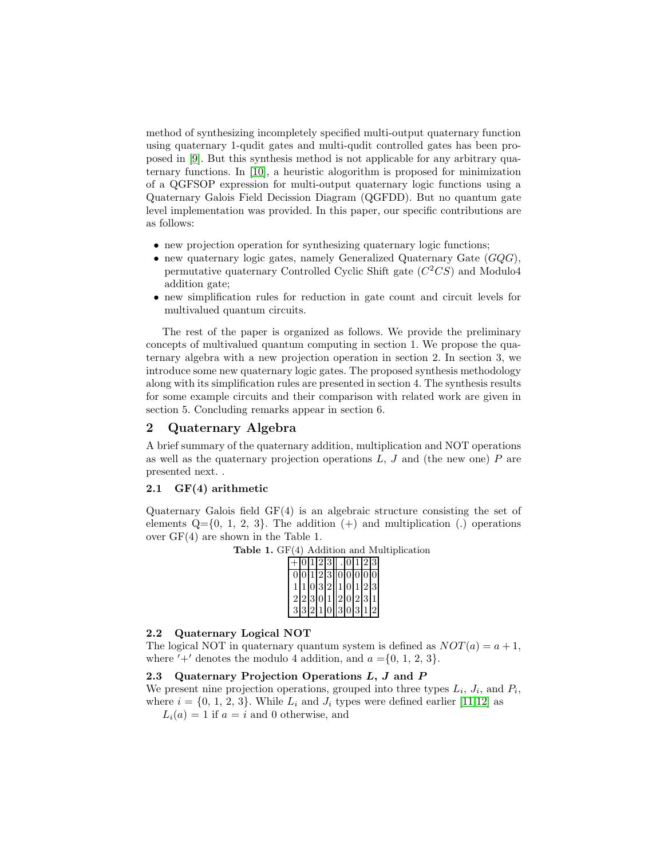method of synthesizing incompletely specified multi-output quaternary function using quaternary 1-qudit gates and multi-qudit controlled gates has been proposed in [\[9\]](#page-9-4). But this synthesis method is not applicable for any arbitrary quaternary functions. In [\[10\]](#page-9-5), a heuristic alogorithm is proposed for minimization of a QGFSOP expression for multi-output quaternary logic functions using a Quaternary Galois Field Decission Diagram (QGFDD). But no quantum gate level implementation was provided. In this paper, our specific contributions are as follows:

- new projection operation for synthesizing quaternary logic functions;
- new quaternary logic gates, namely Generalized Quaternary Gate  $(GQG)$ , permutative quaternary Controlled Cyclic Shift gate  $(C^2CS)$  and Modulo4 addition gate;
- new simplification rules for reduction in gate count and circuit levels for multivalued quantum circuits.

The rest of the paper is organized as follows. We provide the preliminary concepts of multivalued quantum computing in section 1. We propose the quaternary algebra with a new projection operation in section 2. In section 3, we introduce some new quaternary logic gates. The proposed synthesis methodology along with its simplification rules are presented in section 4. The synthesis results for some example circuits and their comparison with related work are given in section 5. Concluding remarks appear in section 6.

# 2 Quaternary Algebra

A brief summary of the quaternary addition, multiplication and NOT operations as well as the quaternary projection operations  $L, J$  and (the new one)  $P$  are presented next. .

#### 2.1 GF(4) arithmetic

Quaternary Galois field GF(4) is an algebraic structure consisting the set of elements  $Q=\{0, 1, 2, 3\}$ . The addition  $(+)$  and multiplication  $(.)$  operations over GF(4) are shown in the Table 1.

Table 1. GF(4) Addition and Multiplication

|  |  |  | 0 1 2 3  . 0 1 2 3   |  |  |
|--|--|--|----------------------|--|--|
|  |  |  | 0 0 1 2 3  0 0 0 0 0 |  |  |
|  |  |  | 1 1 0 3 2  1 0 1 2 3 |  |  |
|  |  |  | 2 2 3 0 1  2 0 2 3 1 |  |  |
|  |  |  | 3 3 2 1 0  3 0 3 1 2 |  |  |

#### 2.2 Quaternary Logical NOT

The logical NOT in quaternary quantum system is defined as  $NOT(a) = a + 1$ , where  $'+'$  denotes the modulo 4 addition, and  $a = \{0, 1, 2, 3\}.$ 

# 2.3 Quaternary Projection Operations  $L, J$  and  $P$

We present nine projection operations, grouped into three types  $L_i$ ,  $J_i$ , and  $P_i$ , where  $i = \{0, 1, 2, 3\}$ . While  $L_i$  and  $J_i$  types were defined earlier [\[11,](#page-9-6)[12\]](#page-9-7) as

 $L_i(a) = 1$  if  $a = i$  and 0 otherwise, and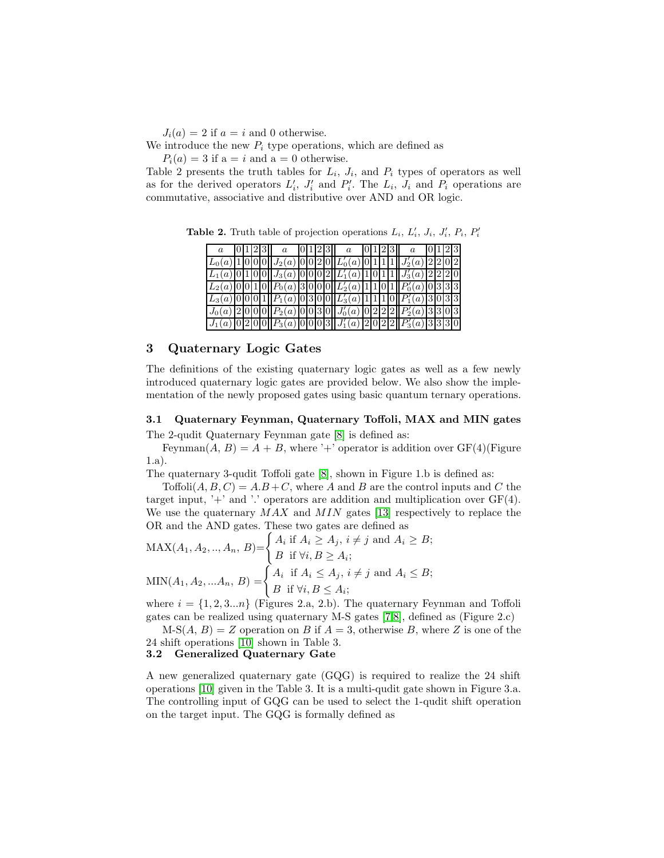$J_i(a) = 2$  if  $a = i$  and 0 otherwise.

We introduce the new  $P_i$  type operations, which are defined as

 $P_i(a) = 3$  if  $a = i$  and  $a = 0$  otherwise.

Table 2 presents the truth tables for  $L_i$ ,  $J_i$ , and  $P_i$  types of operators as well as for the derived operators  $L'_i$ ,  $J'_i$  and  $P'_i$ . The  $L_i$ ,  $J_i$  and  $P_i$  operations are commutative, associative and distributive over AND and OR logic.

|  |  | 0123                                                                          |  |  | a $ 0 1 2 3  $ a $ 0 1 2 3  $ a |  |  | 0 1 2 3 |  |  |
|--|--|-------------------------------------------------------------------------------|--|--|---------------------------------|--|--|---------|--|--|
|  |  | $L_0(a)$  1 0 0 0   $J_2(a)$  0 0 2 0  $L'_0(a)$  0 1 1   $J'_2(a)$  2 2 0 2  |  |  |                                 |  |  |         |  |  |
|  |  | $L_1(a)[0[1[0[0]]J_3(a)[0[0[02]]L'_1(a)[1[011]]J'_3(a)[2[22]0]]$              |  |  |                                 |  |  |         |  |  |
|  |  | $L_2(a)[0[010][P_0(a)]3[000][L'_2(a)]1[1[01][P'_0(a)]0]333]$                  |  |  |                                 |  |  |         |  |  |
|  |  | $L_3(a)[0[0[01][P_1(a)[03[00][L'_3(a)[1[11[0][P'_1(a)]3[033]]$                |  |  |                                 |  |  |         |  |  |
|  |  | $J_0(a)$  2 0 0 0   $P_2(a)$  0 0 3 0   $J'_0(a)$  0 2 2   $P'_2(a)$  3 3 0 3 |  |  |                                 |  |  |         |  |  |
|  |  | $J_1(a)$ 0 2 0 0 $P_3(a)$ 0 0 0 3 $J'_1(a)$ 2 0 2 2 $P'_3(a)$ 3 3 3 0         |  |  |                                 |  |  |         |  |  |

Table 2. Truth table of projection operations  $L_i$ ,  $L'_i$ ,  $J_i$ ,  $J'_i$ ,  $P_i$ ,  $P'_i$ 

# 3 Quaternary Logic Gates

The definitions of the existing quaternary logic gates as well as a few newly introduced quaternary logic gates are provided below. We also show the implementation of the newly proposed gates using basic quantum ternary operations.

# 3.1 Quaternary Feynman, Quaternary Toffoli, MAX and MIN gates

The 2-qudit Quaternary Feynman gate [\[8\]](#page-9-3) is defined as:

Feynman $(A, B) = A + B$ , where '+' operator is addition over GF(4)(Figure 1.a).

The quaternary 3-qudit Toffoli gate [\[8\]](#page-9-3), shown in Figure 1.b is defined as:

Toffoli $(A, B, C) = A.B + C$ , where A and B are the control inputs and C the target input,  $\dot{\gamma}$  and  $\dot{\gamma}$  operators are addition and multiplication over GF(4). We use the quaternary  $MAX$  and  $MIN$  gates [\[13\]](#page-9-8) respectively to replace the OR and the AND gates. These two gates are defined as

$$
\text{MAX}(A_1, A_2, \dots, A_n, B) = \begin{cases} A_i \text{ if } A_i \ge A_j, i \ne j \text{ and } A_i \ge B; \\ B \text{ if } \forall i, B \ge A_i; \end{cases}
$$

$$
\text{MIN}(A_1, A_2, \dots, A_n, B) = \begin{cases} A_i \text{ if } A_i \le A_j, i \ne j \text{ and } A_i \le B; \\ B \text{ if } \forall i, B \le A_i; \end{cases}
$$

where  $i = \{1, 2, 3...n\}$  (Figures 2.a, 2.b). The quaternary Feynman and Toffoli gates can be realized using quaternary M-S gates [\[7](#page-9-2)[,8\]](#page-9-3), defined as (Figure 2.c)

 $M-S(A, B) = Z$  operation on B if  $A = 3$ , otherwise B, where Z is one of the 24 shift operations [\[10\]](#page-9-5) shown in Table 3.

# 3.2 Generalized Quaternary Gate

A new generalized quaternary gate (GQG) is required to realize the 24 shift operations [\[10\]](#page-9-5) given in the Table 3. It is a multi-qudit gate shown in Figure 3.a. The controlling input of GQG can be used to select the 1-qudit shift operation on the target input. The GQG is formally defined as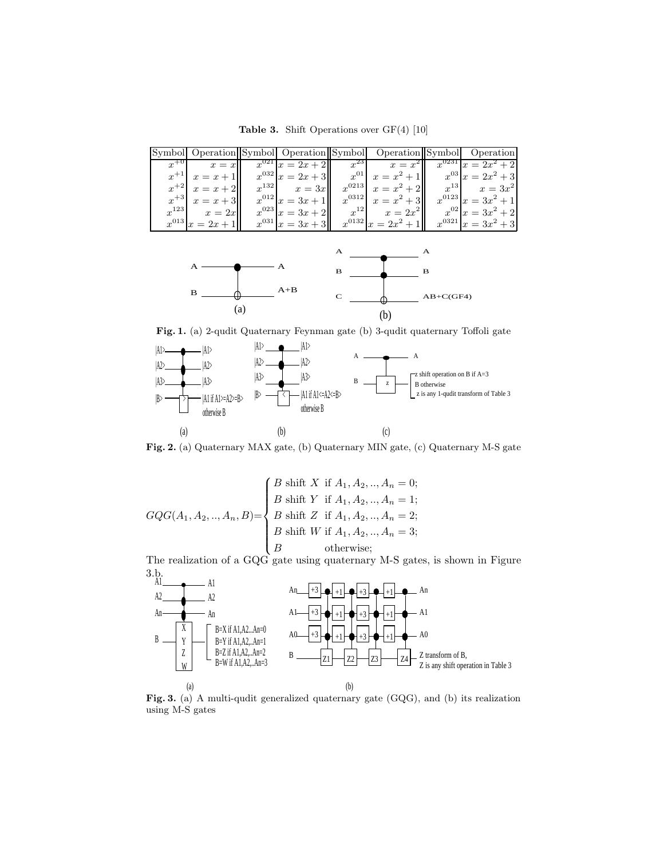Table 3. Shift Operations over GF(4) [10]

|                       |                    | Symbol Operation Symbol Operation Symbol Operation Symbol Operation       |                           |
|-----------------------|--------------------|---------------------------------------------------------------------------|---------------------------|
| $x^{+0}$ $x = x$      |                    | $x^{021} x = 2x + 2  x^{23} $ $x = x^2  x^{0231} x = 2x^2 + 2  x^{0231} $ |                           |
| $x^{+1}$ $x = x + 1$  |                    | $x^{032} x = 2x + 3 $ $x^{01} x = x^2 + 1 $ $x^{03} x = 2x^2 + 3$         |                           |
| $x^{+2}$ $x = x + 2$  | $x^{132}$ $x = 3x$ | $x^{0213}$ $x = x^2 + 2$ $x^{13}$ $x = 3x^2$                              |                           |
| $x^{+3}$ $x = x + 3$  | $x^{012} x=3x+1$   | $x^{0312}$ $x = x^2 + 3$                                                  | $x^{0123} x=3x^2+1 $      |
| $x^{123}$ $x = 2x$    | $x^{023} x=3x+2 $  | $x^{12}$ $x = 2x^2$                                                       | $x^{02}$ $x = 3x^2 + 2$   |
| $x^{013} x = 2x + 1 $ | $x^{031} x=3x+3 $  | $x^{0132} x = 2x^2 + 1 $                                                  | $x^{0321}$ $x = 3x^2 + 3$ |



Fig. 1. (a) 2-qudit Quaternary Feynman gate (b) 3-qudit quaternary Toffoli gate



Fig. 2. (a) Quaternary MAX gate, (b) Quaternary MIN gate, (c) Quaternary M-S gate

$$
GQG(A_1, A_2, ..., A_n, B) = \begin{cases} B \text{ shift } X & \text{if } A_1, A_2, ..., A_n = 0; \\ B \text{ shift } Y & \text{if } A_1, A_2, ..., A_n = 1; \\ B \text{ shift } Z & \text{if } A_1, A_2, ..., A_n = 2; \\ B \text{ shift } W & \text{if } A_1, A_2, ..., A_n = 3; \\ B & \text{otherwise;} \end{cases}
$$

The realization of a GQG gate using quaternary M-S gates, is shown in Figure



Fig. 3. (a) A multi-qudit generalized quaternary gate (GQG), and (b) its realization using M-S gates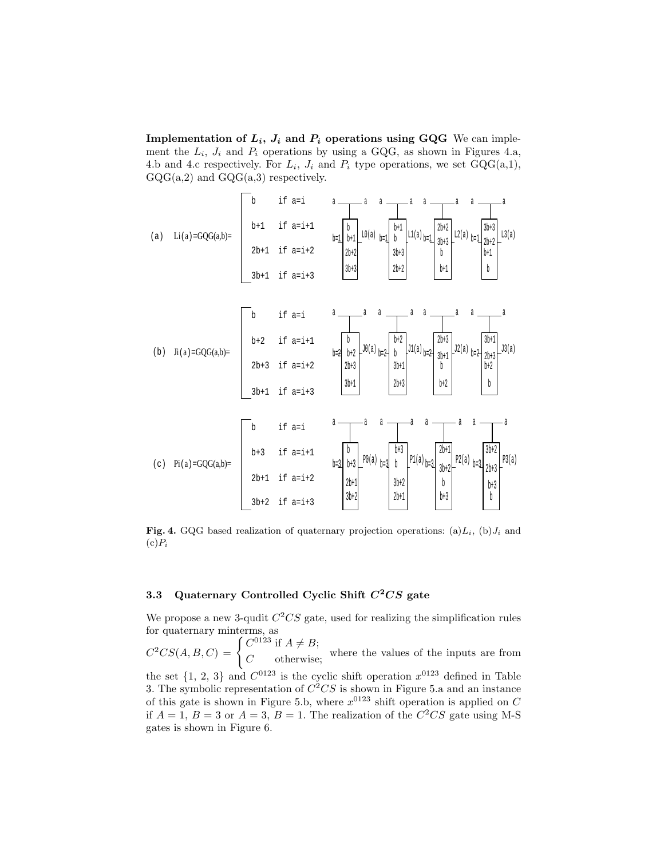Implementation of  $L_i$ ,  $J_i$  and  $P_i$  operations using GQG We can implement the  $L_i$ ,  $J_i$  and  $P_i$  operations by using a GQG, as shown in Figures 4.a, 4.b and 4.c respectively. For  $L_i$ ,  $J_i$  and  $P_i$  type operations, we set  $GQG(a,1)$ ,  $GQG(a,2)$  and  $GQG(a,3)$  respectively.



Fig. 4. GQG based realization of quaternary projection operations: (a) $L_i$ , (b) $J_i$  and  $(c)P_i$ 

### 3.3 Quaternary Controlled Cyclic Shift  $C^2CS$  gate

We propose a new 3-qudit  $C^2CS$  gate, used for realizing the simplification rules for quaternary minterms, as

 $C^2CS(A, B, C) = \begin{cases} C^{0123} & \text{if } A \neq B; \\ C & \text{otherwise} \end{cases}$  $C$  otherwise; where the values of the inputs are from

the set  $\{1, 2, 3\}$  and  $C^{0123}$  is the cyclic shift operation  $x^{0123}$  defined in Table 3. The symbolic representation of  $C^2CS$  is shown in Figure 5.a and an instance of this gate is shown in Figure 5.b, where  $x^{0123}$  shift operation is applied on C if  $A = 1$ ,  $B = 3$  or  $A = 3$ ,  $B = 1$ . The realization of the  $C<sup>2</sup>CS$  gate using M-S gates is shown in Figure 6.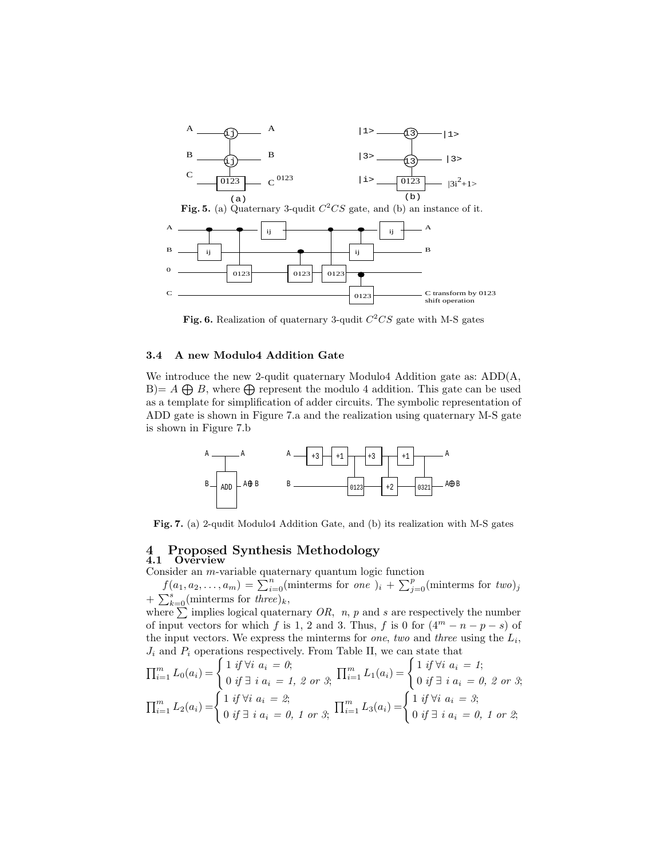

Fig. 6. Realization of quaternary 3-qudit  $C^2CS$  gate with M-S gates

#### 3.4 A new Modulo4 Addition Gate

We introduce the new 2-qudit quaternary Modulo4 Addition gate as: ADD(A,  $B = A \bigoplus B$ , where  $\bigoplus$  represent the modulo 4 addition. This gate can be used as a template for simplification of adder circuits. The symbolic representation of ADD gate is shown in Figure 7.a and the realization using quaternary M-S gate is shown in Figure 7.b



Fig. 7. (a) 2-qudit Modulo4 Addition Gate, and (b) its realization with M-S gates

# 4 Proposed Synthesis Methodology

#### 4.1 Overview

Consider an m-variable quaternary quantum logic function

 $f(a_1, a_2,..., a_m) = \sum_{i=0}^n$  (minterms for *one* )<sub>i</sub> +  $\sum_{j=0}^p$  (minterms for *two*)<sub>j</sub> +  $\sum_{k=0}^{s}$ (minterms for *three*)<sub>k</sub>,

where  $\sum$  implies logical quaternary OR, n, p and s are respectively the number of input vectors for which f is 1, 2 and 3. Thus, f is 0 for  $(4^m - n - p - s)$  of the input vectors. We express the minterms for one, two and three using the  $L_i$ ,  $J_i$  and  $P_i$  operations respectively. From Table II, we can state that

$$
\prod_{i=1}^{m} L_0(a_i) = \begin{cases} 1 & \text{if } \forall i \ a_i = 0; \\ 0 & \text{if } \exists \ i \ a_i = 1, \ 2 \text{ or } 3; \end{cases} \quad \prod_{i=1}^{m} L_1(a_i) = \begin{cases} 1 & \text{if } \forall i \ a_i = 1; \\ 0 & \text{if } \exists \ i \ a_i = 0, \ 2 \text{ or } 3; \end{cases}
$$

$$
\prod_{i=1}^{m} L_2(a_i) = \begin{cases} 1 & \text{if } \forall i \ a_i = 2; \\ 0 & \text{if } \exists \ i \ a_i = 0, \ 1 \text{ or } 3; \end{cases} \quad \prod_{i=1}^{m} L_3(a_i) = \begin{cases} 1 & \text{if } \forall i \ a_i = 3; \\ 0 & \text{if } \exists \ i \ a_i = 0, \ 1 \text{ or } 2; \end{cases}
$$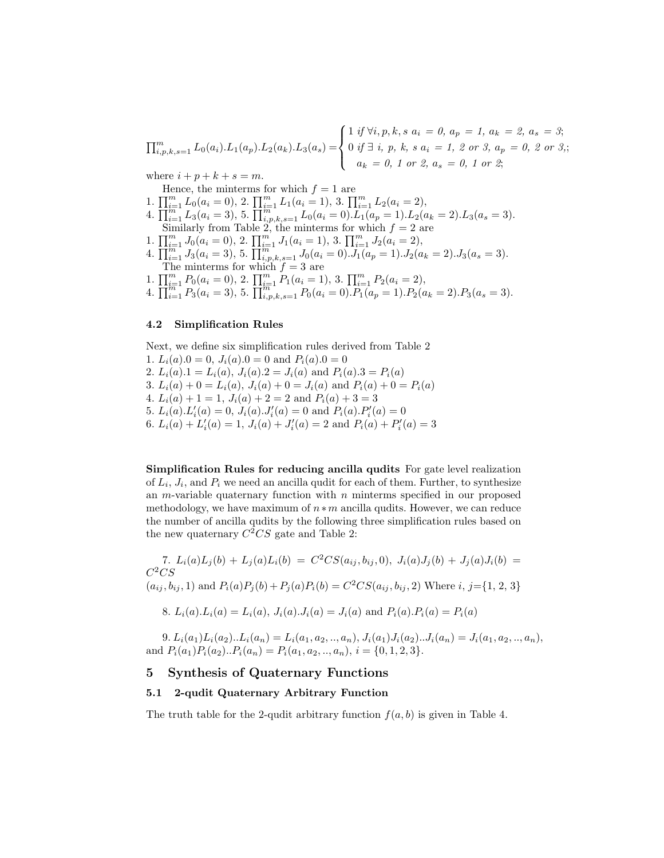$$
\prod_{i,p,k,s=1}^{m} L_0(a_i) \cdot L_1(a_p) \cdot L_2(a_k) \cdot L_3(a_s) = \begin{cases} 1 & \text{if } \forall i, p, k, s \ a_i = 0, \ a_p = 1, \ a_k = 2, \ a_s = 3; \\ 0 & \text{if } \exists i, p, k, s \ a_i = 1, \ 2 \text{ or } 3, \ a_p = 0, \ 2 \text{ or } 3; \\ a_k = 0, \ 1 \text{ or } 2, \ a_s = 0, \ 1 \text{ or } 2; \end{cases}
$$

where  $i + p + k + s = m$ .

Hence, the minterms for which  $f = 1$  are 1.  $\prod_{i=1}^{m} L_0(a_i = 0)$ , 2.  $\prod_{i=1}^{m} L_1(a_i = 1)$ , 3.  $\prod_{i=1}^{m} L_2(a_i = 2)$ , 4.  $\prod_{i=1}^{m-1} L_3(a_i=3)$ , 5.  $\prod_{i,p,k,s=1}^{m-1} L_0(a_i=0)$ . $L_1(a_p=1)$ . $L_2(a_k=2)$ . $L_3(a_s=3)$ . Similarly from Table 2, the minterms for which  $f = 2$  are 1.  $\prod_{i=1}^{m} J_0(a_i = 0)$ , 2.  $\prod_{i=1}^{m} J_1(a_i = 1)$ , 3.  $\prod_{i=1}^{m} J_2(a_i = 2)$ , 4.  $\prod_{i=1}^{m} J_3(a_i=3)$ , 5.  $\prod_{i,p,k,s=1}^{m} J_0(a_i=0) \cdot J_1(a_p=1) \cdot J_2(a_k=2) \cdot J_3(a_s=3)$ . The minterms for which  $f = 3$  are 1.  $\prod_{i=1}^{m} P_0(a_i = 0),$  2.  $\prod_{i=1}^{m} P_1(a_i = 1),$  3.  $\prod_{i=1}^{m} P_2(a_i = 2),$ 

# 4.  $\prod_{i=1}^{m-1} P_3(a_i=3)$ , 5.  $\prod_{i,p,k,s=1}^{m-1} P_0(a_i=0)$ .  $P_1(a_p=1)$ .  $P_2(a_k=2)$ .  $P_3(a_s=3)$ .

#### 4.2 Simplification Rules

Next, we define six simplification rules derived from Table 2 1.  $L_i(a).0 = 0, J_i(a).0 = 0$  and  $P_i(a).0 = 0$ 2.  $L_i(a).1 = L_i(a), J_i(a).2 = J_i(a)$  and  $P_i(a).3 = P_i(a)$ 3.  $L_i(a) + 0 = L_i(a)$ ,  $J_i(a) + 0 = J_i(a)$  and  $P_i(a) + 0 = P_i(a)$ 4.  $L_i(a) + 1 = 1$ ,  $J_i(a) + 2 = 2$  and  $P_i(a) + 3 = 3$ 5.  $L_i(a)$ . $L'_i(a) = 0$ ,  $J_i(a)$ . $J'_i(a) = 0$  and  $P_i(a)$ . $P'_i(a) = 0$ 6.  $L_i(a) + L'_i(a) = 1$ ,  $J_i(a) + J'_i(a) = 2$  and  $P_i(a) + P'_i(a) = 3$ 

Simplification Rules for reducing ancilla qudits For gate level realization of  $L_i$ ,  $J_i$ , and  $P_i$  we need an ancilla qudit for each of them. Further, to synthesize an  $m$ -variable quaternary function with  $n$  minterms specified in our proposed methodology, we have maximum of  $n*m$  ancilla qudits. However, we can reduce the number of ancilla qudits by the following three simplification rules based on the new quaternary  $C^2CS$  gate and Table 2:

7. 
$$
L_i(a)L_j(b) + L_j(a)L_i(b) = C^2CS(a_{ij}, b_{ij}, 0), J_i(a)J_j(b) + J_j(a)J_i(b) = C^2CS
$$
  
\n $(a_{ij}, b_{ij}, 1)$  and  $P_i(a)P_j(b) + P_j(a)P_i(b) = C^2CS(a_{ij}, b_{ij}, 2)$  Where  $i, j = \{1, 2, 3\}$ 

8. 
$$
L_i(a) \cdot L_i(a) = L_i(a), J_i(a) \cdot J_i(a) = J_i(a)
$$
 and  $P_i(a) \cdot P_i(a) = P_i(a)$ 

9.  $L_i(a_1)L_i(a_2)...L_i(a_n) = L_i(a_1, a_2, ..., a_n), J_i(a_1)J_i(a_2)...J_i(a_n) = J_i(a_1, a_2, ..., a_n),$ and  $P_i(a_1)P_i(a_2)...P_i(a_n) = P_i(a_1, a_2, ..., a_n), i = \{0, 1, 2, 3\}.$ 

# 5 Synthesis of Quaternary Functions

#### 5.1 2-qudit Quaternary Arbitrary Function

The truth table for the 2-qudit arbitrary function  $f(a, b)$  is given in Table 4.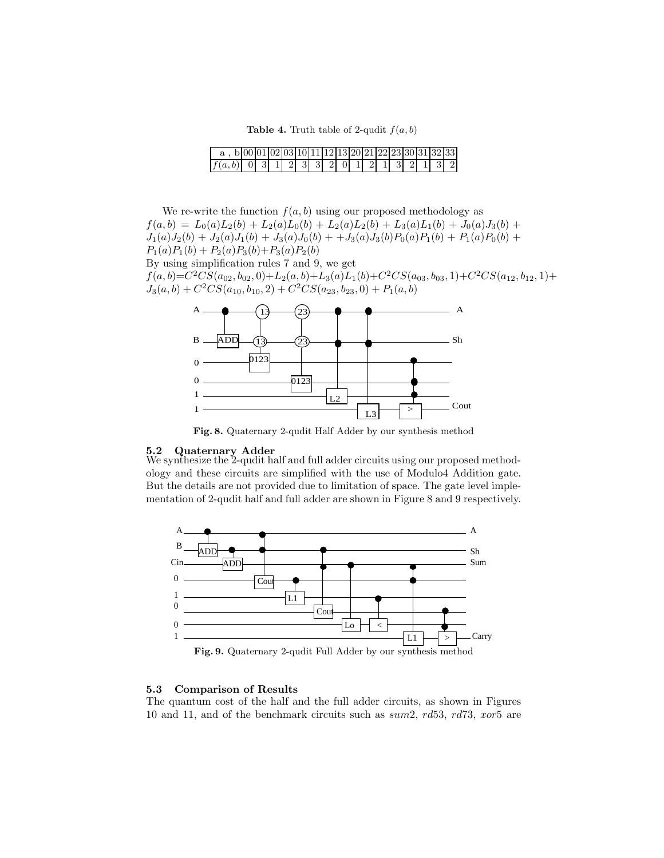**Table 4.** Truth table of 2-qudit  $f(a, b)$ 

|                                            | bl00l01l02l03l10l11l12l13l20l21l22l23l30l31l32l33l |  |  |  |  |  |  |  |  |
|--------------------------------------------|----------------------------------------------------|--|--|--|--|--|--|--|--|
| $ f(a,b) $ 0 3 1 2 3 3 2 0 1 2 1 3 2 1 3 2 |                                                    |  |  |  |  |  |  |  |  |

We re-write the function  $f(a, b)$  using our proposed methodology as  $f(a, b) = L_0(a)L_2(b) + L_2(a)L_0(b) + L_2(a)L_2(b) + L_3(a)L_1(b) + J_0(a)J_3(b) +$  $J_1(a)J_2(b) + J_2(a)J_1(b) + J_3(a)J_0(b) + J_3(a)J_3(b)P_0(a)P_1(b) + P_1(a)P_0(b) +$  $P_1(a)P_1(b) + P_2(a)P_3(b) + P_3(a)P_2(b)$ By using simplification rules 7 and 9, we get

 $f(a, b) = C^2CS(a_{02}, b_{02}, 0) + L_2(a, b) + L_3(a)L_1(b) + C^2CS(a_{03}, b_{03}, 1) + C^2CS(a_{12}, b_{12}, 1) +$  $J_3(a, b) + C^2CS(a_{10}, b_{10}, 2) + C^2CS(a_{23}, b_{23}, 0) + P_1(a, b)$ 



Fig. 8. Quaternary 2-qudit Half Adder by our synthesis method

#### 5.2 Quaternary Adder

We synthesize the 2-qudit half and full adder circuits using our proposed methodology and these circuits are simplified with the use of Modulo4 Addition gate. But the details are not provided due to limitation of space. The gate level implementation of 2-qudit half and full adder are shown in Figure 8 and 9 respectively.



Fig. 9. Quaternary 2-qudit Full Adder by our synthesis method

#### 5.3 Comparison of Results

The quantum cost of the half and the full adder circuits, as shown in Figures 10 and 11, and of the benchmark circuits such as sum2, rd53, rd73, xor5 are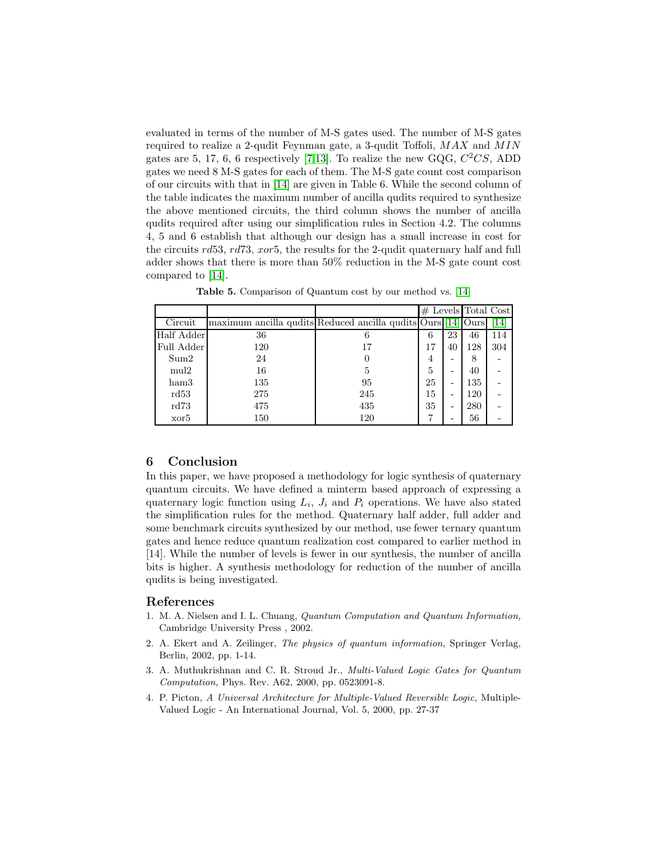evaluated in terms of the number of M-S gates used. The number of M-S gates required to realize a 2-qudit Feynman gate, a 3-qudit Toffoli,  $MAX$  and  $MIN$ gates are 5, 17, 6, 6 respectively [\[7,](#page-9-2)[13\]](#page-9-8). To realize the new GQG,  $C^2CS$ , ADD gates we need 8 M-S gates for each of them. The M-S gate count cost comparison of our circuits with that in [\[14\]](#page-9-9) are given in Table 6. While the second column of the table indicates the maximum number of ancilla qudits required to synthesize the above mentioned circuits, the third column shows the number of ancilla qudits required after using our simplification rules in Section 4.2. The columns 4, 5 and 6 establish that although our design has a small increase in cost for the circuits rd53, rd73, xor5, the results for the 2-qudit quaternary half and full adder shows that there is more than 50% reduction in the M-S gate count cost compared to [\[14\]](#page-9-9).

|                  |                                                              |     |    |    | $#$ Levels Total Cost |     |  |
|------------------|--------------------------------------------------------------|-----|----|----|-----------------------|-----|--|
| Circuit          | maximum ancilla qudits Reduced ancilla qudits Ours [14] Ours |     |    |    |                       | 14  |  |
| Half Adder       | 36                                                           | n   | 6  | 23 | 46                    | 114 |  |
| Full Adder       | 120                                                          | 17  | 17 | 40 | 128                   | 304 |  |
| Sum2             | 24                                                           |     | 4  |    | 8                     |     |  |
| mul <sub>2</sub> | 16                                                           | 5   | 5  |    | 40                    |     |  |
| ham3             | 135                                                          | 95  | 25 | -  | 135                   |     |  |
| rd53             | 275                                                          | 245 | 15 | -  | 120                   |     |  |
| rd73             | 475                                                          | 435 | 35 | -  | 280                   |     |  |
| xor5             | 150                                                          | 120 |    |    | 56                    |     |  |

Table 5. Comparison of Quantum cost by our method vs. [\[14\]](#page-9-9)

# 6 Conclusion

In this paper, we have proposed a methodology for logic synthesis of quaternary quantum circuits. We have defined a minterm based approach of expressing a quaternary logic function using  $L_i$ ,  $J_i$  and  $P_i$  operations. We have also stated the simplification rules for the method. Quaternary half adder, full adder and some benchmark circuits synthesized by our method, use fewer ternary quantum gates and hence reduce quantum realization cost compared to earlier method in [14]. While the number of levels is fewer in our synthesis, the number of ancilla bits is higher. A synthesis methodology for reduction of the number of ancilla qudits is being investigated.

# <span id="page-8-0"></span>References

- 1. M. A. Nielsen and I. L. Chuang, Quantum Computation and Quantum Information, Cambridge University Press , 2002.
- <span id="page-8-1"></span>2. A. Ekert and A. Zeilinger, The physics of quantum information, Springer Verlag, Berlin, 2002, pp. 1-14.
- <span id="page-8-2"></span>3. A. Muthukrishnan and C. R. Stroud Jr., Multi-Valued Logic Gates for Quantum Computation, Phys. Rev. A62, 2000, pp. 0523091-8.
- <span id="page-8-3"></span>4. P. Picton, A Universal Architecture for Multiple-Valued Reversible Logic, Multiple-Valued Logic - An International Journal, Vol. 5, 2000, pp. 27-37